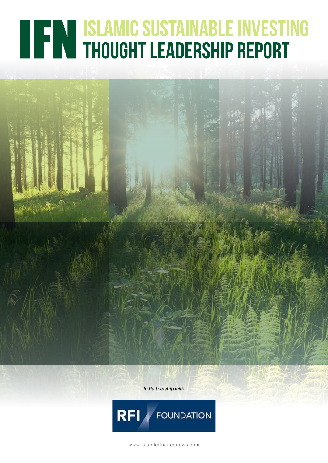# **TEN ISLAMIC SUSTAINABLE INVESTING<br>THOUGHT LEADERSHIP REPORT**

*In Partnership with*



www.islamicfinancenews.com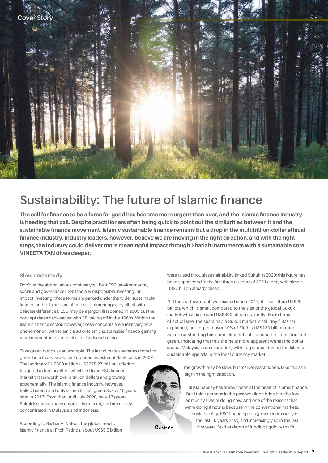

# **Sustainability: The future of Islamic finance**

**The call for finance to be a force for good has become more urgent than ever, and the Islamic finance industry is heeding that call. Despite practitioners often being quick to point out the similarities between it and the sustainable finance movement, Islamic sustainable finance remains but a drop in the multitrillion-dollar ethical finance industry. Industry leaders, however, believe we are moving in the right direction, and with the right steps, the industry could deliver more meaningful impact through Shariah instruments with a sustainable core. VINEETA TAN dives deeper.**

#### **Slow and steady**

Don't let the abbreviations confuse you. Be it ESG [environmental, social and governance], SRI [socially responsible investing] or impact investing, these terms are parked under the wider sustainable finance umbrella and are often used interchangeably albeit with delicate differences. ESG may be a jargon first coined in 2005 but the concept dates back earlier with SRI taking off in the 1960s. Within the Islamic finance sector, however, these concepts are a relatively new phenomenon, with Islamic ESG or Islamic sustainable finance gaining more momentum over the last half a decade or so.

Take green bonds as an example. The first climate awareness bond, or green bond, was issued by European Investment Bank back in 2007. The landmark EUR600 million (US\$678.27 million) offering triggered a domino effect which led to an ESG finance market that is worth over a trillion dollars and growing exponentially. The Islamic finance industry, however, trailed behind and only issued its first green Sukuk 10 years later in 2017. From then until July 2020, only 17 green Sukuk issuances have entered the market, and are mostly concentrated in Malaysia and Indonesia.

According to Bashar Al Natoor, the global head of Islamic finance at Fitch Ratings, about US\$5.5 billion were raised through sustainability-linked Sukuk in 2020; this figure has been superseded in the first three quarters of 2021 alone, with almost US\$7 billion already raised.

"If I look at how much was issued since 2017, it is less than US\$20 billion, which is small compared to the size of the global Sukuk market which is around US\$800 billion currently. So, in terms of actual size, the sustainable Sukuk market is still tiny," Bashar explained, adding that over 10% of Fitch's US\$130 billion rated Sukuk outstanding has some elements of sustainable, transition and green, indicating that this theme is more apparent within the dollar space. Malaysia is an exception, with corporates driving the Islamic sustainable agenda in the local currency market.

> The growth may be slow, but market practitioners take this as a sign in the right direction.

"Sustainability has always been at the heart of Islamic finance. But I think perhaps in the past we didn't bring it to the fore as much as we're doing now. And one of the reasons that we're doing it now is because in the conventional markets,

sustainability, ESG financing has grown enormously in the last 15 years or so, and increasingly so in the last five years. So that depth of funding liquidity that's

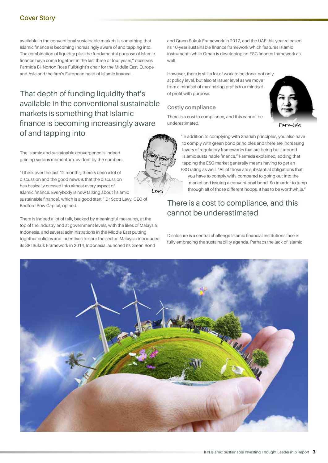#### **Cover Story**

available in the conventional sustainable markets is something that Islamic finance is becoming increasingly aware of and tapping into. The combination of liquidity plus the fundamental purpose of Islamic finance have come together in the last three or four years," observes Farmida Bi, Norton Rose Fulbright's chair for the Middle East, Europe and Asia and the firm's European head of Islamic finance.

That depth of funding liquidity that's available in the conventional sustainable markets is something that Islamic finance is becoming increasingly aware of and tapping into

The Islamic and sustainable convergence is indeed gaining serious momentum, evident by the numbers.

"I think over the last 12 months, there's been a lot of discussion and the good news is that the discussion has basically crossed into almost every aspect of Islamic finance. Everybody is now talking about [Islamic sustainable finance], which is a good start," Dr Scott Levy, CEO of Bedford Row Capital, opined.

There is indeed a lot of talk, backed by meaningful measures, at the top of the industry and at government levels, with the likes of Malaysia, Indonesia, and several administrations in the Middle East putting together policies and incentives to spur the sector. Malaysia introduced its SRI Sukuk Framework in 2014, Indonesia launched its Green Bond

and Green Sukuk Framework in 2017, and the UAE this year released its 10-year sustainable finance framework which features Islamic instruments while Oman is developing an ESG finance framework as well.

However, there is still a lot of work to be done, not only at policy level, but also at issuer level as we move from a mindset of maximizing profits to a mindset of profit with purpose.

#### **Costly compliance**

There is a cost to compliance, and this cannot be underestimated.

"In addition to complying with Shariah principles, you also have to comply with green bond principles and there are increasing layers of regulatory frameworks that are being built around Islamic sustainable finance," Farmida explained, adding that tapping the ESG market generally means having to get an ESG rating as well. "All of those are substantial obligations that you have to comply with, compared to going out into the market and issuing a conventional bond. So in order to jump through all of those different hoops, it has to be worthwhile."

### There is a cost to compliance, and this cannot be underestimated

Disclosure is a central challenge Islamic financial institutions face in fully embracing the sustainability agenda. Perhaps the lack of Islamic



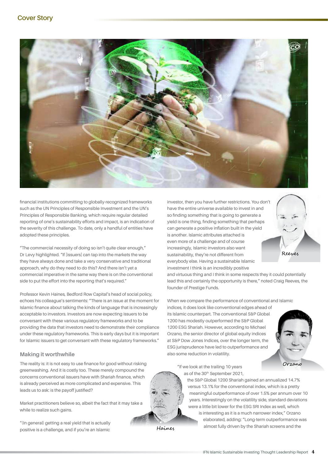

financial institutions committing to globally-recognized frameworks such as the UN Principles of Responsible Investment and the UN's Principles of Responsible Banking, which require regular detailed reporting of one's sustainability efforts and impact, is an indication of the severity of this challenge. To date, only a handful of entities have adopted these principles.

"The commercial necessity of doing so isn't quite clear enough," Dr Levy highlighted. "If [issuers] can tap into the markets the way they have always done and take a very conservative and traditional approach, why do they need to do this? And there isn't yet a commercial imperative in the same way there is on the conventional side to put the effort into the reporting that's required."

Professor Kevin Haines, Bedford Row Capital's head of social policy, echoes his colleague's sentiments: "There is an issue at the moment for Islamic finance about talking the kinds of language that is increasingly acceptable to investors. Investors are now expecting issuers to be conversant with these various regulatory frameworks and to be providing the data that investors need to demonstrate their compliance under these regulatory frameworks. This is early days but it is important for Islamic issuers to get conversant with these regulatory frameworks."

#### **Making it worthwhile**

The reality is: it is not easy to use finance for good without risking greenwashing. And it is costly too. These merely compound the concerns conventional issuers have with Shariah finance, which is already perceived as more complicated and expensive. This leads us to ask: is the payoff justified?

Market practitioners believe so, albeit the fact that it may take a while to realize such gains.

"(In general) getting a real yield that is actually positive is a challenge, and if you're an Islamic

investor, then you have further restrictions. You don't have the entire universe available to invest in and so finding something that is going to generate a yield is one thing, finding something that perhaps can generate a positive inflation built in the yield is another. Islamic attributes attached is even more of a challenge and of course increasingly, Islamic investors also want sustainability, they're not different from everybody else. Having a sustainable Islamic investment I think is an incredibly positive

and virtuous thing and I think in some respects they it could potentially lead this and certainly the opportunity is there," noted Craig Reeves, the founder of Prestige Funds.

When we compare the performance of conventional and Islamic indices, it does look like conventional edges ahead of

its Islamic counterpart. The conventional S&P Global 1200 has modestly outperformed the S&P Global 1200 ESG Shariah. However, according to Michael Orzano, the senior director of global equity indices at S&P Dow Jones Indices, over the longer term, the ESG jurisprudence have led to outperformance and also some reduction in volatility.



Reeves

"If we look at the trailing 10 years as of the 30<sup>th</sup> September 2021,

> the S&P Global 1200 Shariah gained an annualized 14.7% versus 13.1% for the conventional index, which is a pretty meaningful outperformance of over 1.5% per annum over 10 years. Interestingly on the volatility side, standard deviations were a little bit lower for the ESG SRI Index as well, which is interesting as it is a much narrower index," Orzano

elaborated, adding: "Long-term outperformance was almost fully driven by the Shariah screens and the



Haines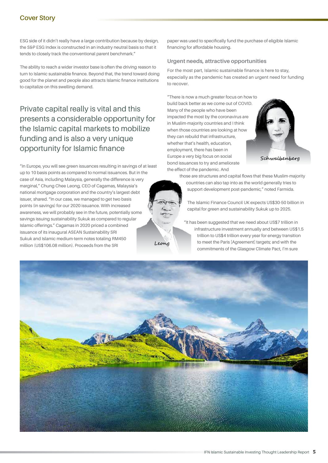#### **Cover Story**

ESG side of it didn't really have a large contribution because by design, the S&P ESG Index is constructed in an industry neutral basis so that it tends to closely track the conventional parent benchmark."

The ability to reach a wider investor base is often the driving reason to turn to Islamic sustainable finance. Beyond that, the trend toward doing good for the planet and people also attracts Islamic finance institutions to capitalize on this swelling demand.

# Private capital really is vital and this presents a considerable opportunity for the Islamic capital markets to mobilize funding and is also a very unique opportunity for Islamic finance

"In Europe, you will see green issuances resulting in savings of at least up to 10 basis points as compared to normal issuances. But in the case of Asia, including Malaysia, generally the difference is very marginal," Chung Chee Leong, CEO of Cagamas, Malaysia's national mortgage corporation and the country's largest debt issuer, shared. "In our case, we managed to get two basis points (in savings) for our 2020 issuance. With increased awareness, we will probably see in the future, potentially some savings issuing sustainability Sukuk as compared to regular Islamic offerings." Cagamas in 2020 priced a combined issuance of its inaugural ASEAN Sustainability SRI Sukuk and Islamic medium-term notes totaling RM450 Leong million (US\$106.08 million). Proceeds from the SRI

paper was used to specifically fund the purchase of eligible Islamic financing for affordable housing.

#### **Urgent needs, attractive opportunities**

For the most part, Islamic sustainable finance is here to stay, especially as the pandemic has created an urgent need for funding to recover.

"There is now a much greater focus on how to build back better as we come out of COVID. Many of the people who have been impacted the most by the coronavirus are in Muslim-majority countries and I think when those countries are looking at how they can rebuild that infrastructure, whether that's health, education, employment, there has been in Europe a very big focus on social bond issuances to try and ameliorate the effect of the pandemic. And



those are structures and capital flows that these Muslim-majority countries can also tap into as the world generally tries to support development post-pandemic," noted Farmida.

The Islamic Finance Council UK expects US\$30-50 billion in capital for green and sustainability Sukuk up to 2025.

"It has been suggested that we need about US\$7 trillion in infrastructure investment annually and between US\$1.5 trillion to US\$4 trillion every year for energy transition to meet the Paris [Agreement] targets; and with the commitments of the Glasgow Climate Pact, I'm sure

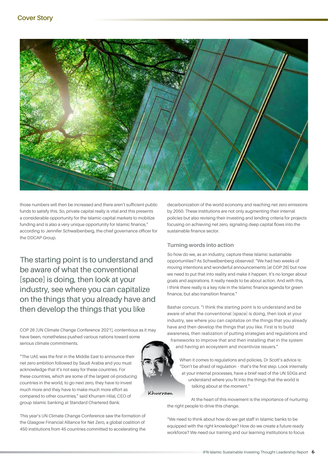

those numbers will then be increased and there aren't sufficient public funds to satisfy this. So, private capital really is vital and this presents a considerable opportunity for the Islamic capital markets to mobilize funding and is also a very unique opportunity for Islamic finance," according to Jennifer Schwalbenberg, the chief governance officer for the DDCAP Group.

The starting point is to understand and be aware of what the conventional [space] is doing, then look at your industry, see where you can capitalize on the things that you already have and then develop the things that you like

COP 26 [UN Climate Change Conference 2021], contentious as it may have been, nonetheless pushed various nations toward some serious climate commitments.

"The UAE was the first in the Middle East to announce their net zero ambition followed by Saudi Arabia and you must acknowledge that it's not easy for these countries. For these countries, which are some of the largest oil-producing countries in the world, to go next zero, they have to invest much more and they have to make much more effort as compared to other countries," said Khurram Hilal, CEO of group Islamic banking at Standard Chartered Bank.

This year's UN Climate Change Conference saw the formation of the Glasgow Financial Alliance for Net Zero, a global coalition of 450 institutions from 45 countries committed to accelerating the decarbonization of the world economy and reaching net zero emissions by 2050. These institutions are not only augmenting their internal policies but also revising their investing and lending criteria for projects focusing on achieving net zero, signaling deep capital flows into the sustainable finance sector.

#### **Turning words into action**

So how do we, as an industry, capture these Islamic sustainable opportunities? As Schwalbenberg observed: "We had two weeks of moving intentions and wonderful announcements [at COP 26] but now we need to put that into reality and make it happen. It's no longer about goals and aspirations. It really needs to be about action. And with this, I think there really is a key role in the Islamic finance agenda for green finance, but also transition finance."

Bashar concurs. "I think the starting point is to understand and be aware of what the conventional [space] is doing, then look at your industry, see where you can capitalize on the things that you already have and then develop the things that you like. First is to build awareness, then realization of putting strategies and regulations and frameworks to improve that and then installing that in the system and having an ecosystem and incentivize issuers."

When it comes to regulations and policies, Dr Scott's advice is: "Don't be afraid of regulation – that's the first step. Look internally at your internal processes, have a brief read of the UN SDGs and understand where you fit into the things that the world is talking about at the moment."

Khurram

At the heart of this movement is the importance of nurturing the right people to drive this change.

"We need to think about how do we get staff in Islamic banks to be equipped with the right knowledge? How do we create a future-ready workforce? We need our training and our learning institutions to focus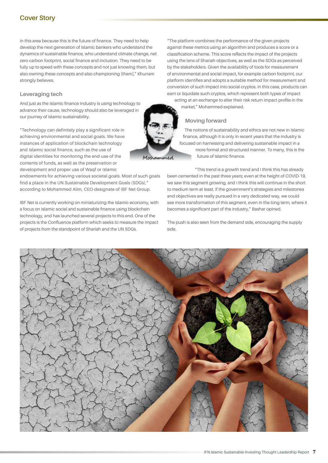#### **Cover Story**

in this area because this is the future of finance. They need to help develop the next generation of Islamic bankers who understand the dynamics of sustainable finance, who understand climate change, net zero carbon footprint, social finance and inclusion. They need to be fully up to speed with these concepts and not just knowing them, but also owning these concepts and also championing [them]," Khurram strongly believes.

#### **Leveraging tech**

And just as the Islamic finance industry is using technology to advance their cause, technology should also be leveraged in our journey of Islamic sustainability.

"Technology can definitely play a significant role in achieving environmental and social goals. We have instances of application of blockchain technology and Islamic social finance, such as the use of digital identities for monitoring the end-use of the contents of funds, as well as the preservation or development and proper use of Waqf or Islamic

endowments for achieving various societal goals. Most of such goals find a place in the UN Sustainable Development Goals (SDGs)," according to Mohammed Alim, CEO-designate of IBF Net Group.

IBF Net is currently working on miniaturizing the Islamic economy, with a focus on Islamic social and sustainable finance using blockchain technology, and has launched several projects to this end. One of the projects is the Confluence platform which seeks to measure the impact of projects from the standpoint of Shariah and the UN SDGs.

"The platform combines the performance of the given projects against these metrics using an algorithm and produces a score or a classification scheme. This score reflects the impact of the projects using the lens of Shariah objectives, as well as the SDGs as perceived by the stakeholders. Given the availability of tools for measurement of environmental and social impact, for example carbon footprint, our platform identifies and adopts a suitable method for measurement and conversion of such impact into social cryptos. In this case, products can earn or liquidate such cryptos, which represent both types of impact

acting at an exchange to alter their risk return impact profile in the market," Mohammed explained.

#### **Moving forward**

The notions of sustainability and ethics are not new in Islamic finance, although it is only in recent years that the industry is focused on harnessing and delivering sustainable impact in a more formal and structured manner. To many, this is the future of Islamic finance.

"This trend is a growth trend and I think this has already been cemented in the past three years; even at the height of COVID-19, we saw this segment growing, and I think this will continue in the short to medium term at least. If the government's strategies and milestones and objectives are really pursued in a very dedicated way, we could see more transformation of this segment, even in the long term, where it becomes a significant part of the industry," Bashar opined.

The push is also seen from the demand side, encouraging the supply side.



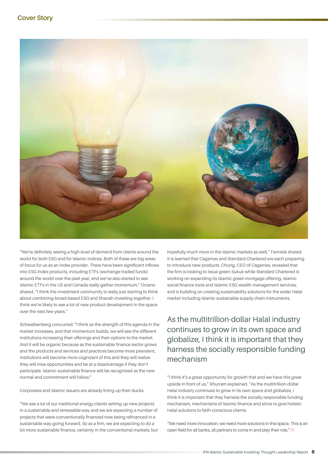

"We're definitely seeing a high level of demand from clients around the world for both ESG and for Islamic indices. Both of these are big areas of focus for us as an index provider. There have been significant inflows into ESG index products, including ETFs [exchange-traded funds] around the world over the past year, and we've also started to see Islamic ETFs in the US and Canada really gather momentum," Orzano shared. "I think the investment community is really just starting to think about combining broad-based ESG and Shariah investing together. I think we're likely to see a lot of new product development in the space over the next few years."

Schwalbenberg concurred: "I think as the strength of this agenda in the market increases, and that momentum builds, we will see the different institutions increasing their offerings and their options to the market. And it will be organic because as the sustainable finance sector grows and the products and services and practices become more prevalent, institutions will become more cognizant of this and they will realize they will miss opportunities and be at a disadvantage if they don't participate. Islamic sustainable finance will be recognized as the new normal and commitment will follow."

Corporates and Islamic issuers are already lining up their ducks.

"We see a lot of our traditional energy clients setting up new projects in a sustainable and renewable way and we are expecting a number of projects that were conventionally financed now being refinanced in a sustainable way going forward. So as a firm, we are expecting to do a lot more sustainable finance, certainly in the conventional markets, but hopefully much more in the Islamic markets as well," Farmida shared. It is learned that Cagamas and Standard Chartered are each preparing to introduce new products. Chung, CEO of Cagamas, revealed that the firm is looking to issue green Sukuk while Standard Chartered is working on expanding its Islamic green mortgage offering, Islamic social finance tools and Islamic ESG wealth management services, and is building on creating sustainability solutions for the wider Halal market including Islamic sustainable supply chain instruments.

# As the multitrillion-dollar Halal industry continues to grow in its own space and globalize, I think it is important that they harness the socially responsible funding mechanism

"I think it's a great opportunity for growth that and we have this great upside in front of us," Khurram explained. "As the multitrillion-dollar Halal industry continues to grow in its own space and globalize, I think it is important that they harness the socially responsible funding mechanism, mechanisms of Islamic finance and strive to give holistic Halal solutions to faith-conscious clients.

"We need more innovation, we need more solutions in this space. This is an open field for all banks, all partners to come in and play their role."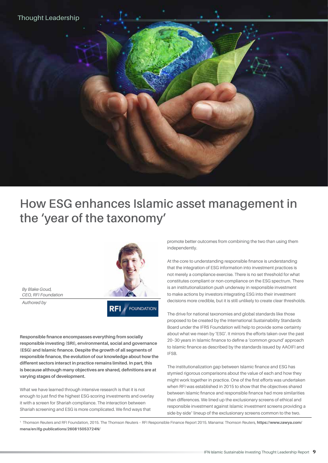

# **How ESG enhances Islamic asset management in the 'year of the taxonomy'**

*By Blake Goud, CEO, RFI Foundation*

*Authored by*



**Responsible finance encompasses everything from socially responsible investing (SRI), environmental, social and governance (ESG) and Islamic finance. Despite the growth of all segments of responsible finance, the evolution of our knowledge about how the different sectors interact in practice remains limited. In part, this is because although many objectives are shared, definitions are at varying stages of development.** 

What we have learned through intensive research is that it is not enough to just find the highest ESG-scoring investments and overlay it with a screen for Shariah compliance. The interaction between Shariah screening and ESG is more complicated. We find ways that

promote better outcomes from combining the two than using them independently.

At the core to understanding responsible finance is understanding that the integration of ESG information into investment practices is not merely a compliance exercise. There is no set threshold for what constitutes compliant or non-compliance on the ESG spectrum. There is an institutionalization push underway in responsible investment to make actions by investors integrating ESG into their investment decisions more credible, but it is still unlikely to create clear thresholds.

The drive for national taxonomies and global standards like those proposed to be created by the International Sustainability Standards Board under the IFRS Foundation will help to provide some certainty about what we mean by 'ESG'. It mirrors the efforts taken over the past 20–30 years in Islamic finance to define a 'common ground' approach to Islamic finance as described by the standards issued by AAOIFI and IFSB.

The institutionalization gap between Islamic finance and ESG has stymied rigorous comparisons about the value of each and how they might work together in practice. One of the first efforts was undertaken when RFI was established in 2015 to show that the objectives shared between Islamic finance and responsible finance had more similarities than differences. We lined up the exclusionary screens of ethical and responsible investment against Islamic investment screens providing a side-by-side<sup>1</sup> lineup of the exclusionary screens common to the two.

1 Thomson Reuters and RFI Foundation, 2015. The Thomson Reuters – RFI Responsible Finance Report 2015. Manama: Thomson Reuters, **https://www.zawya.com/ mena/en/ifg-publications/260815053724N/**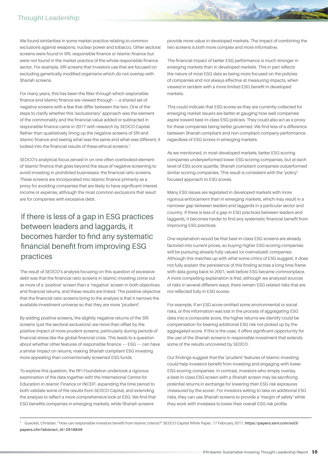We found similarities in some market practice relating to common exclusions against weapons, nuclear power and tobacco. Other sectoral screens were found in SRI, responsible finance or Islamic finance but were not found in the market practice of the whole responsible finance sector. For example, SRI screens that investors use that are focused on excluding genetically modified organisms which do not overlap with Shariah screens.

For many years, this has been the filter through which responsible finance and Islamic finance are viewed through — a shared set of negative screens with a few that differ between the two. One of the steps to clarify whether this 'exclusionary' approach was the element of the commonality and the financial value added or subtracted in responsible finance came in 2017 with research by SEDCO Capital. Rather than qualitatively lining up the negative screens of SRI and Islamic finance and seeing what was the same and what was different, it looked into the financial results of these ethical screens.<sup>2</sup>

SEDCO's analytical focus zeroed in on one often overlooked element of Islamic finance that goes beyond the issue of negative screening to avoid investing in prohibited businesses: the financial ratio screens. These screens are incorporated into Islamic finance primarily as a proxy for avoiding companies that are likely to have significant interest income or expense, although the most common exclusions that result are for companies with excessive debt.

# If there is less of a gap in ESG practices between leaders and laggards, it becomes harder to find any systematic financial benefit from improving ESG practices

The result of SEDCO's analysis focusing on this question of excessive debt was that the financial ratio screens in Islamic investing come out as more of a 'positive' screen than a 'negative' screen in both objectives and financial returns, and these results are linked. The positive objective that the financial ratio screens bring to the analysis is that it narrows the available investment universe so that they are more 'prudent'.

By adding positive screens, the slightly negative returns of the SRI screens (just the sectoral exclusions) are more than offset by the positive impact of more prudent screens, particularly during periods of financial stress like the global financial crisis. This leads to a question about whether other features of responsible finance — ESG — can have a similar impact on returns, making Shariah compliant ESG investing more appealing than conventionally screened ESG funds.

To explore this question, the RFI Foundation undertook a rigorous examination of the data together with the International Centre for Education in Islamic Finance or INCEIF, expanding the time period to both validate some of the results from SEDCO Capital, and extending the analysis to reflect a more comprehensive look at ESG. We find that ESG benefits companies in emerging markets, while Shariah screens

provide more value in developed markets. The impact of combining the two screens is both more complex and more informative.

The financial impact of better ESG performance is much stronger in emerging markets than in developed markets. This in part reflects the nature of most ESG data as being more focused on the policies of companies and not always effective at measuring impacts, when viewed in tandem with a more limited ESG benefit in developed markets.

This could indicate that ESG scores as they are currently collected for emerging market issuers are better at gauging how well companies aspire toward best-in-class ESG policies. They could also act as a proxy for these companies being better governed. We find less of a difference between Shariah compliant and non-compliant company performance regardless of ESG scores in emerging markets.

As we mentioned, in most developed markets, better ESG-scoring companies underperformed lower ESG-scoring companies, but at each level of ESG score quartile, Shariah compliant companies outperformed similar scoring companies. This result is consistent with the 'policy' focused approach to ESG scores.

Many ESG issues are legislated in developed markets with more rigorous enforcement than in emerging markets, which may result in a narrower gap between leaders and laggards in a particular sector and country. If there is less of a gap in ESG practices between leaders and laggards, it becomes harder to find any systematic financial benefit from improving ESG practices.

One explanation would be that best-in-class ESG screens are already factored into current prices, so buying higher ESG-scoring companies will be pursuing already fully valued (or overvalued) companies. Although this matches up with what some critics of ESG suggest, it does not fully explain the persistence of this finding across a long time frame with data going back to 2001, well before ESG became commonplace. A more compelling explanation is that, although we analyzed sources of risks in several different ways, there remain ESG-related risks that are not reflected fully in ESG scores.

For example, if an ESG score omitted some environmental or social risks, or this information was lost in the process of aggregating ESG data into a composite score, the higher returns we identify could be compensation for bearing additional ESG risk not picked up by the aggregated score. If this is the case, it offers significant opportunity for the use of the Shariah screens in responsible investment that extends some of the results uncovered by SEDCO.

Our findings suggest that the 'prudent' features of Islamic investing could help investors benefit from investing and engaging with lower ESG-scoring companies. In contrast, investors who simply overlay a best-in-class ESG screen with a Shariah screen may be sacrificing potential returns in exchange for lowering their ESG risk exposures (measured by the score). For investors willing to take on additional ESG risks, they can use Shariah screens to provide a 'margin of safety' while they work with investees to lower their overall ESG risk profile.

<sup>2</sup> Gueckel, Christian. "How can responsible investors benefit from Islamic criteria?" SEDCO Capital White Paper, 17 February 2017, **https://papers.ssrn.com/sol3/ papers.cfm?abstract\_id=2918849**